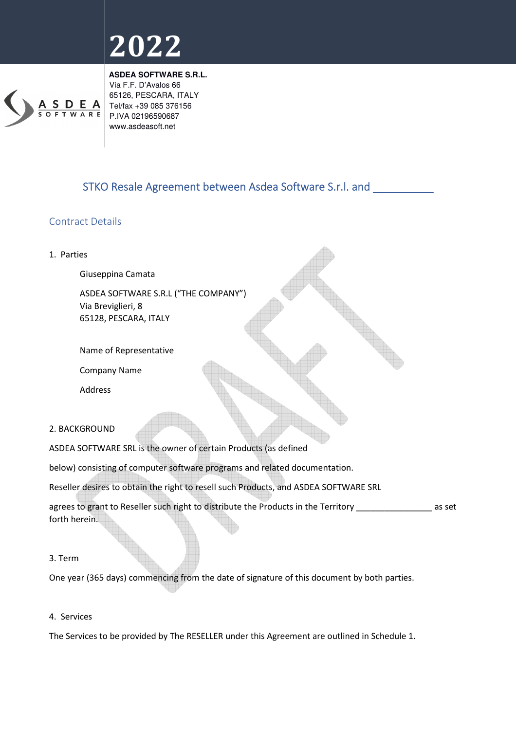

**ASDEA SOFTWARE S.R.L.**  Via F.F. D'Avalos 66 65126, PESCARA, ITALY Tel/fax +39 085 376156 P.IVA 02196590687 www.asdeasoft.net

### STKO Resale Agreement between Asdea Software S.r.l. and \_\_\_\_\_\_\_\_\_\_

### Contract Details



#### 3. Term

One year (365 days) commencing from the date of signature of this document by both parties.

#### 4. Services

The Services to be provided by The RESELLER under this Agreement are outlined in Schedule 1.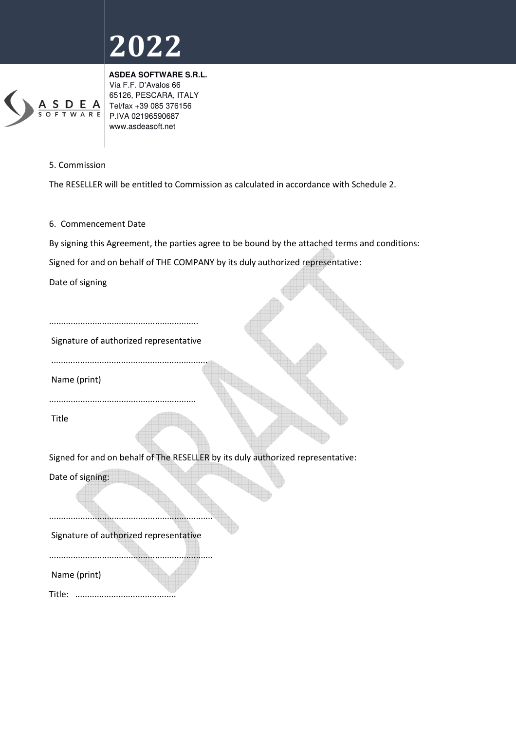

**ASDEA SOFTWARE S.R.L.**  Via F.F. D'Avalos 66 65126, PESCARA, ITALY Tel/fax +39 085 376156 P.IVA 02196590687 www.asdeasoft.net

#### 5. Commission

The RESELLER will be entitled to Commission as calculated in accordance with Schedule 2.

6. Commencement Date

By signing this Agreement, the parties agree to be bound by the attached terms and conditions:

Signed for and on behalf of THE COMPANY by its duly authorized representative:

Date of signing

.............................................................. Signature of authorized representative

Name (print)

.............................................................

.................................................................

Title

Signed for and on behalf of The RESELLER by its duly authorized representative:

Date of signing:

....................................................................

Signature of authorized representative

....................................................................

Name (print)

Title: ..........................................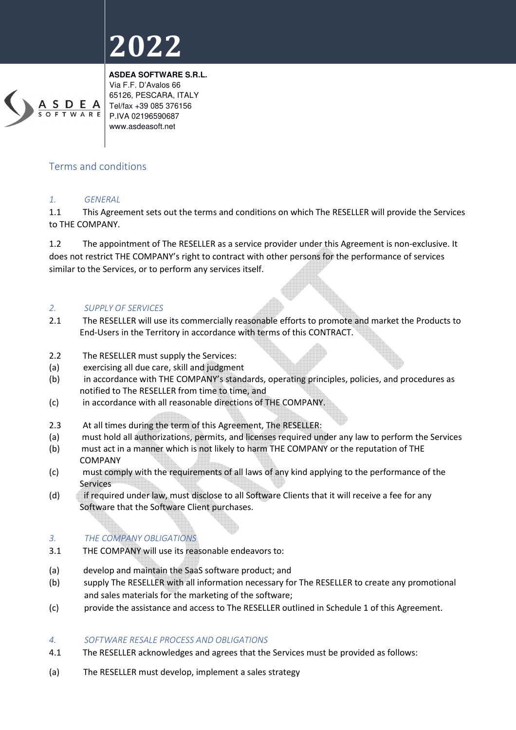

**ASDEA SOFTWARE S.R.L.**  Via F.F. D'Avalos 66 65126, PESCARA, ITALY Tel/fax +39 085 376156 P.IVA 02196590687 www.asdeasoft.net

#### Terms and conditions

#### *1. GENERAL*

1.1 This Agreement sets out the terms and conditions on which The RESELLER will provide the Services to THE COMPANY.

1.2 The appointment of The RESELLER as a service provider under this Agreement is non-exclusive. It does not restrict THE COMPANY's right to contract with other persons for the performance of services similar to the Services, or to perform any services itself.

#### *2. SUPPLY OF SERVICES*

- 2.1 The RESELLER will use its commercially reasonable efforts to promote and market the Products to End-Users in the Territory in accordance with terms of this CONTRACT.
- 2.2 The RESELLER must supply the Services:
- (a) exercising all due care, skill and judgment
- (b) in accordance with THE COMPANY's standards, operating principles, policies, and procedures as notified to The RESELLER from time to time, and
- (c) in accordance with all reasonable directions of THE COMPANY.
- 2.3 At all times during the term of this Agreement, The RESELLER:
- (a) must hold all authorizations, permits, and licenses required under any law to perform the Services
- (b) must act in a manner which is not likely to harm THE COMPANY or the reputation of THE COMPANY
- (c) must comply with the requirements of all laws of any kind applying to the performance of the Services
- (d) if required under law, must disclose to all Software Clients that it will receive a fee for any Software that the Software Client purchases.

#### *3. THE COMPANY OBLIGATIONS*

- 3.1 THE COMPANY will use its reasonable endeavors to:
- (a) develop and maintain the SaaS software product; and
- (b) supply The RESELLER with all information necessary for The RESELLER to create any promotional and sales materials for the marketing of the software;
- (c) provide the assistance and access to The RESELLER outlined in Schedule 1 of this Agreement.

#### *4. SOFTWARE RESALE PROCESS AND OBLIGATIONS*

- 4.1 The RESELLER acknowledges and agrees that the Services must be provided as follows:
- (a) The RESELLER must develop, implement a sales strategy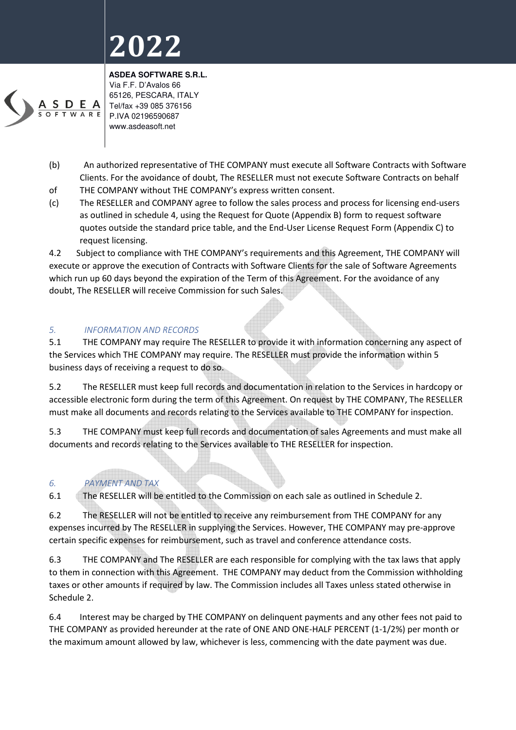

**ASDEA SOFTWARE S.R.L.**  Via F.F. D'Avalos 66 65126, PESCARA, ITALY Tel/fax +39 085 376156 P.IVA 02196590687 www.asdeasoft.net

- (b) An authorized representative of THE COMPANY must execute all Software Contracts with Software Clients. For the avoidance of doubt, The RESELLER must not execute Software Contracts on behalf
- of THE COMPANY without THE COMPANY's express written consent.
- (c) The RESELLER and COMPANY agree to follow the sales process and process for licensing end-users as outlined in schedule 4, using the Request for Quote (Appendix B) form to request software quotes outside the standard price table, and the End-User License Request Form (Appendix C) to request licensing.

4.2 Subject to compliance with THE COMPANY's requirements and this Agreement, THE COMPANY will execute or approve the execution of Contracts with Software Clients for the sale of Software Agreements which run up 60 days beyond the expiration of the Term of this Agreement. For the avoidance of any doubt, The RESELLER will receive Commission for such Sales.

### *5. INFORMATION AND RECORDS*

5.1 THE COMPANY may require The RESELLER to provide it with information concerning any aspect of the Services which THE COMPANY may require. The RESELLER must provide the information within 5 business days of receiving a request to do so.

5.2 The RESELLER must keep full records and documentation in relation to the Services in hardcopy or accessible electronic form during the term of this Agreement. On request by THE COMPANY, The RESELLER must make all documents and records relating to the Services available to THE COMPANY for inspection.

5.3 THE COMPANY must keep full records and documentation of sales Agreements and must make all documents and records relating to the Services available to THE RESELLER for inspection.

### *6. PAYMENT AND TAX*

6.1 The RESELLER will be entitled to the Commission on each sale as outlined in Schedule 2.

6.2 The RESELLER will not be entitled to receive any reimbursement from THE COMPANY for any expenses incurred by The RESELLER in supplying the Services. However, THE COMPANY may pre-approve certain specific expenses for reimbursement, such as travel and conference attendance costs.

6.3 THE COMPANY and The RESELLER are each responsible for complying with the tax laws that apply to them in connection with this Agreement. THE COMPANY may deduct from the Commission withholding taxes or other amounts if required by law. The Commission includes all Taxes unless stated otherwise in Schedule 2.

6.4 Interest may be charged by THE COMPANY on delinquent payments and any other fees not paid to THE COMPANY as provided hereunder at the rate of ONE AND ONE-HALF PERCENT (1-1/2%) per month or the maximum amount allowed by law, whichever is less, commencing with the date payment was due.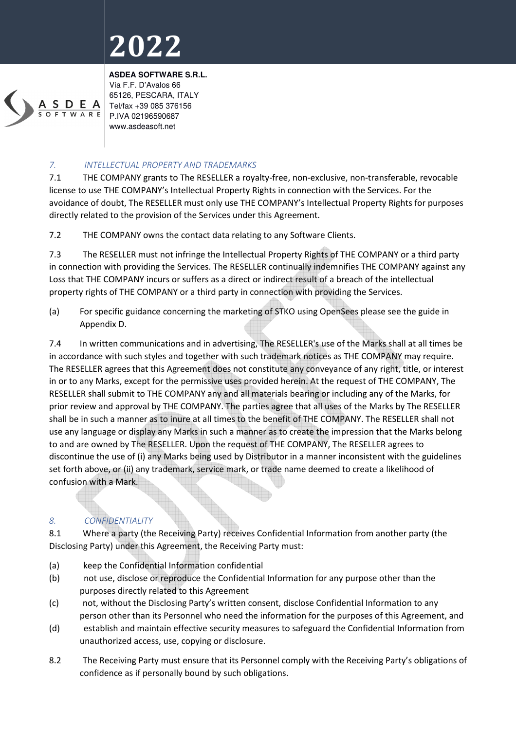

**ASDEA SOFTWARE S.R.L.**  Via F.F. D'Avalos 66 65126, PESCARA, ITALY Tel/fax +39 085 376156 P.IVA 02196590687 www.asdeasoft.net

#### *7. INTELLECTUAL PROPERTY AND TRADEMARKS*

7.1 THE COMPANY grants to The RESELLER a royalty-free, non-exclusive, non-transferable, revocable license to use THE COMPANY's Intellectual Property Rights in connection with the Services. For the avoidance of doubt, The RESELLER must only use THE COMPANY's Intellectual Property Rights for purposes directly related to the provision of the Services under this Agreement.

7.2 THE COMPANY owns the contact data relating to any Software Clients.

7.3 The RESELLER must not infringe the Intellectual Property Rights of THE COMPANY or a third party in connection with providing the Services. The RESELLER continually indemnifies THE COMPANY against any Loss that THE COMPANY incurs or suffers as a direct or indirect result of a breach of the intellectual property rights of THE COMPANY or a third party in connection with providing the Services.

(a) For specific guidance concerning the marketing of STKO using OpenSees please see the guide in Appendix D.

7.4 In written communications and in advertising, The RESELLER's use of the Marks shall at all times be in accordance with such styles and together with such trademark notices as THE COMPANY may require. The RESELLER agrees that this Agreement does not constitute any conveyance of any right, title, or interest in or to any Marks, except for the permissive uses provided herein. At the request of THE COMPANY, The RESELLER shall submit to THE COMPANY any and all materials bearing or including any of the Marks, for prior review and approval by THE COMPANY. The parties agree that all uses of the Marks by The RESELLER shall be in such a manner as to inure at all times to the benefit of THE COMPANY. The RESELLER shall not use any language or display any Marks in such a manner as to create the impression that the Marks belong to and are owned by The RESELLER. Upon the request of THE COMPANY, The RESELLER agrees to discontinue the use of (i) any Marks being used by Distributor in a manner inconsistent with the guidelines set forth above, or (ii) any trademark, service mark, or trade name deemed to create a likelihood of confusion with a Mark.

### *8. CONFIDENTIALITY*

8.1 Where a party (the Receiving Party) receives Confidential Information from another party (the Disclosing Party) under this Agreement, the Receiving Party must:

- (a) keep the Confidential Information confidential
- (b) not use, disclose or reproduce the Confidential Information for any purpose other than the purposes directly related to this Agreement
- (c) not, without the Disclosing Party's written consent, disclose Confidential Information to any person other than its Personnel who need the information for the purposes of this Agreement, and
- (d) establish and maintain effective security measures to safeguard the Confidential Information from unauthorized access, use, copying or disclosure.
- 8.2 The Receiving Party must ensure that its Personnel comply with the Receiving Party's obligations of confidence as if personally bound by such obligations.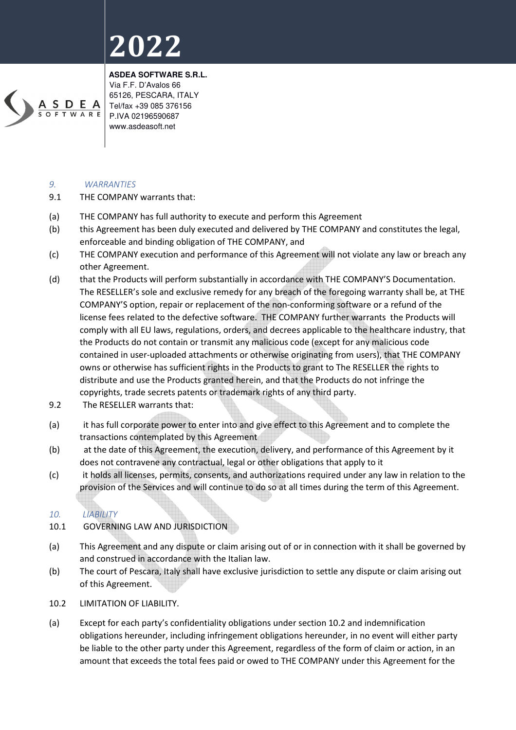

**ASDEA SOFTWARE S.R.L.**  Via F.F. D'Avalos 66 65126, PESCARA, ITALY Tel/fax +39 085 376156 P.IVA 02196590687 www.asdeasoft.net

#### *9. WARRANTIES*

- 9.1 THE COMPANY warrants that:
- (a) THE COMPANY has full authority to execute and perform this Agreement
- (b) this Agreement has been duly executed and delivered by THE COMPANY and constitutes the legal, enforceable and binding obligation of THE COMPANY, and
- (c) THE COMPANY execution and performance of this Agreement will not violate any law or breach any other Agreement.
- (d) that the Products will perform substantially in accordance with THE COMPANY'S Documentation. The RESELLER's sole and exclusive remedy for any breach of the foregoing warranty shall be, at THE COMPANY'S option, repair or replacement of the non-conforming software or a refund of the license fees related to the defective software. THE COMPANY further warrants the Products will comply with all EU laws, regulations, orders, and decrees applicable to the healthcare industry, that the Products do not contain or transmit any malicious code (except for any malicious code contained in user-uploaded attachments or otherwise originating from users), that THE COMPANY owns or otherwise has sufficient rights in the Products to grant to The RESELLER the rights to distribute and use the Products granted herein, and that the Products do not infringe the copyrights, trade secrets patents or trademark rights of any third party.
- 9.2 The RESELLER warrants that:
- (a) it has full corporate power to enter into and give effect to this Agreement and to complete the transactions contemplated by this Agreement
- (b) at the date of this Agreement, the execution, delivery, and performance of this Agreement by it does not contravene any contractual, legal or other obligations that apply to it
- (c) it holds all licenses, permits, consents, and authorizations required under any law in relation to the provision of the Services and will continue to do so at all times during the term of this Agreement.

### *10. LIABILITY*

- 10.1 GOVERNING LAW AND JURISDICTION
- (a) This Agreement and any dispute or claim arising out of or in connection with it shall be governed by and construed in accordance with the Italian law.
- (b) The court of Pescara, Italy shall have exclusive jurisdiction to settle any dispute or claim arising out of this Agreement.
- 10.2 LIMITATION OF LIABILITY.
- (a) Except for each party's confidentiality obligations under section 10.2 and indemnification obligations hereunder, including infringement obligations hereunder, in no event will either party be liable to the other party under this Agreement, regardless of the form of claim or action, in an amount that exceeds the total fees paid or owed to THE COMPANY under this Agreement for the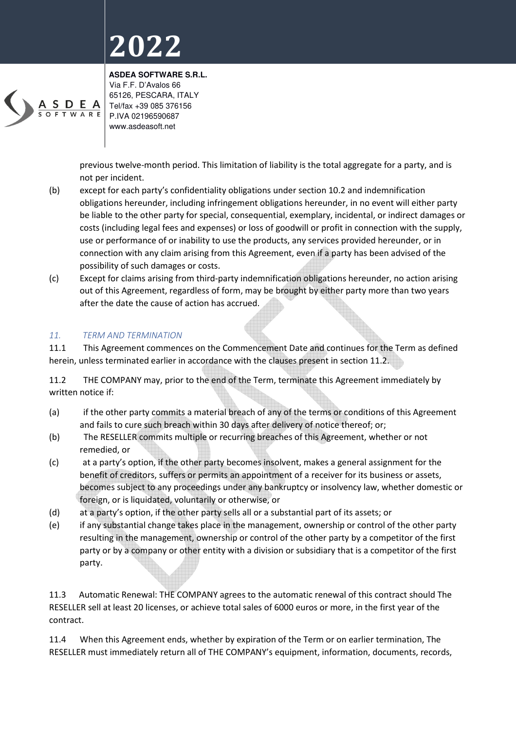

**ASDEA SOFTWARE S.R.L.**  Via F.F. D'Avalos 66 65126, PESCARA, ITALY Tel/fax +39 085 376156 P.IVA 02196590687 www.asdeasoft.net

previous twelve-month period. This limitation of liability is the total aggregate for a party, and is not per incident.

- (b) except for each party's confidentiality obligations under section 10.2 and indemnification obligations hereunder, including infringement obligations hereunder, in no event will either party be liable to the other party for special, consequential, exemplary, incidental, or indirect damages or costs (including legal fees and expenses) or loss of goodwill or profit in connection with the supply, use or performance of or inability to use the products, any services provided hereunder, or in connection with any claim arising from this Agreement, even if a party has been advised of the possibility of such damages or costs.
- (c) Except for claims arising from third-party indemnification obligations hereunder, no action arising out of this Agreement, regardless of form, may be brought by either party more than two years after the date the cause of action has accrued.

#### *11. TERM AND TERMINATION*

11.1 This Agreement commences on the Commencement Date and continues for the Term as defined herein, unless terminated earlier in accordance with the clauses present in section 11.2.

11.2 THE COMPANY may, prior to the end of the Term, terminate this Agreement immediately by written notice if:

- (a) if the other party commits a material breach of any of the terms or conditions of this Agreement and fails to cure such breach within 30 days after delivery of notice thereof; or;
- (b) The RESELLER commits multiple or recurring breaches of this Agreement, whether or not remedied, or
- (c) at a party's option, if the other party becomes insolvent, makes a general assignment for the benefit of creditors, suffers or permits an appointment of a receiver for its business or assets, becomes subject to any proceedings under any bankruptcy or insolvency law, whether domestic or foreign, or is liquidated, voluntarily or otherwise, or
- (d) at a party's option, if the other party sells all or a substantial part of its assets; or
- (e) if any substantial change takes place in the management, ownership or control of the other party resulting in the management, ownership or control of the other party by a competitor of the first party or by a company or other entity with a division or subsidiary that is a competitor of the first party.

11.3 Automatic Renewal: THE COMPANY agrees to the automatic renewal of this contract should The RESELLER sell at least 20 licenses, or achieve total sales of 6000 euros or more, in the first year of the contract.

11.4 When this Agreement ends, whether by expiration of the Term or on earlier termination, The RESELLER must immediately return all of THE COMPANY's equipment, information, documents, records,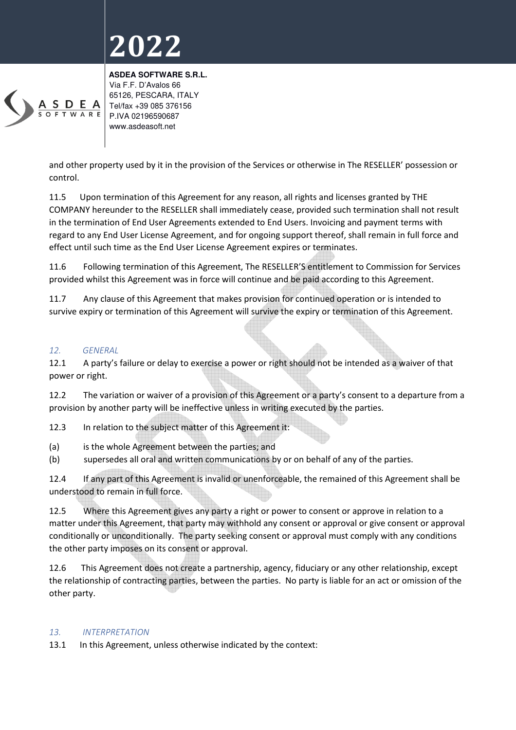

**ASDEA SOFTWARE S.R.L.**  Via F.F. D'Avalos 66 65126, PESCARA, ITALY Tel/fax +39 085 376156 P.IVA 02196590687 www.asdeasoft.net

and other property used by it in the provision of the Services or otherwise in The RESELLER' possession or control.

11.5 Upon termination of this Agreement for any reason, all rights and licenses granted by THE COMPANY hereunder to the RESELLER shall immediately cease, provided such termination shall not result in the termination of End User Agreements extended to End Users. Invoicing and payment terms with regard to any End User License Agreement, and for ongoing support thereof, shall remain in full force and effect until such time as the End User License Agreement expires or terminates.

11.6 Following termination of this Agreement, The RESELLER'S entitlement to Commission for Services provided whilst this Agreement was in force will continue and be paid according to this Agreement.

11.7 Any clause of this Agreement that makes provision for continued operation or is intended to survive expiry or termination of this Agreement will survive the expiry or termination of this Agreement.

#### *12. GENERAL*

12.1 A party's failure or delay to exercise a power or right should not be intended as a waiver of that power or right.

12.2 The variation or waiver of a provision of this Agreement or a party's consent to a departure from a provision by another party will be ineffective unless in writing executed by the parties.

12.3 In relation to the subject matter of this Agreement it:

- (a) is the whole Agreement between the parties; and
- (b) supersedes all oral and written communications by or on behalf of any of the parties.

12.4 If any part of this Agreement is invalid or unenforceable, the remained of this Agreement shall be understood to remain in full force.

12.5 Where this Agreement gives any party a right or power to consent or approve in relation to a matter under this Agreement, that party may withhold any consent or approval or give consent or approval conditionally or unconditionally. The party seeking consent or approval must comply with any conditions the other party imposes on its consent or approval.

12.6 This Agreement does not create a partnership, agency, fiduciary or any other relationship, except the relationship of contracting parties, between the parties. No party is liable for an act or omission of the other party.

#### *13. INTERPRETATION*

13.1 In this Agreement, unless otherwise indicated by the context: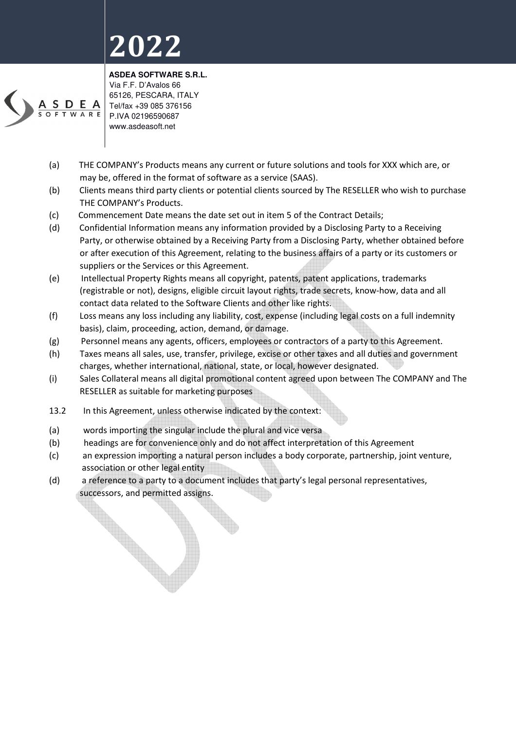

**ASDEA SOFTWARE S.R.L.**  Via F.F. D'Avalos 66 65126, PESCARA, ITALY Tel/fax +39 085 376156 P.IVA 02196590687 www.asdeasoft.net

- (a) THE COMPANY's Products means any current or future solutions and tools for XXX which are, or may be, offered in the format of software as a service (SAAS).
- (b) Clients means third party clients or potential clients sourced by The RESELLER who wish to purchase THE COMPANY's Products.
- (c) Commencement Date means the date set out in item 5 of the Contract Details;
- (d) Confidential Information means any information provided by a Disclosing Party to a Receiving Party, or otherwise obtained by a Receiving Party from a Disclosing Party, whether obtained before or after execution of this Agreement, relating to the business affairs of a party or its customers or suppliers or the Services or this Agreement.
- (e) Intellectual Property Rights means all copyright, patents, patent applications, trademarks (registrable or not), designs, eligible circuit layout rights, trade secrets, know-how, data and all contact data related to the Software Clients and other like rights.
- (f) Loss means any loss including any liability, cost, expense (including legal costs on a full indemnity basis), claim, proceeding, action, demand, or damage.
- (g) Personnel means any agents, officers, employees or contractors of a party to this Agreement.
- (h) Taxes means all sales, use, transfer, privilege, excise or other taxes and all duties and government charges, whether international, national, state, or local, however designated.
- (i) Sales Collateral means all digital promotional content agreed upon between The COMPANY and The RESELLER as suitable for marketing purposes
- 13.2 In this Agreement, unless otherwise indicated by the context:
- (a) words importing the singular include the plural and vice versa
- (b) headings are for convenience only and do not affect interpretation of this Agreement
- (c) an expression importing a natural person includes a body corporate, partnership, joint venture, association or other legal entity
- (d) a reference to a party to a document includes that party's legal personal representatives, successors, and permitted assigns.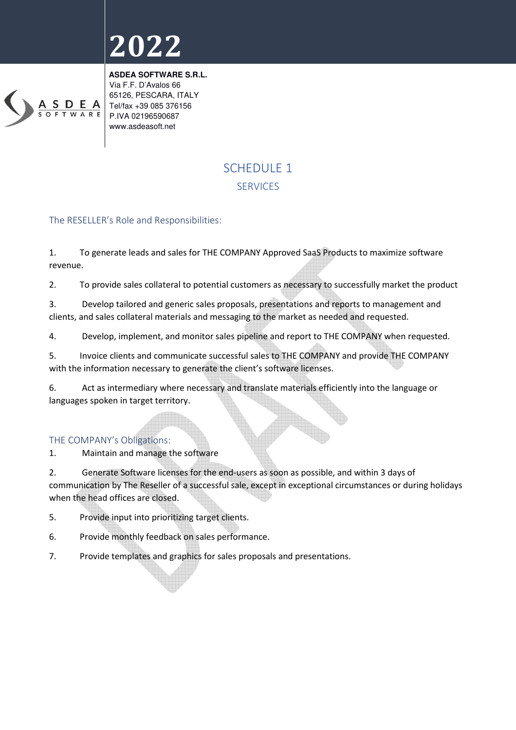

**ASDEA SOFTWARE S.R.L.**  Via F.F. D'Avalos 66 65126, PESCARA, ITALY Tel/fax +39 085 376156 P.IVA 02196590687 www.asdeasoft.net

### SCHEDULE 1 **SERVICES**

#### The RESELLER's Role and Responsibilities:

1. To generate leads and sales for THE COMPANY Approved SaaS Products to maximize software revenue.

2. To provide sales collateral to potential customers as necessary to successfully market the product

3. Develop tailored and generic sales proposals, presentations and reports to management and clients, and sales collateral materials and messaging to the market as needed and requested.

4. Develop, implement, and monitor sales pipeline and report to THE COMPANY when requested.

5. Invoice clients and communicate successful sales to THE COMPANY and provide THE COMPANY with the information necessary to generate the client's software licenses.

6. Act as intermediary where necessary and translate materials efficiently into the language or languages spoken in target territory.

#### THE COMPANY's Obligations:

1. Maintain and manage the software

2. Generate Software licenses for the end-users as soon as possible, and within 3 days of communication by The Reseller of a successful sale, except in exceptional circumstances or during holidays when the head offices are closed.

- 5. Provide input into prioritizing target clients.
- 6. Provide monthly feedback on sales performance.
- 7. Provide templates and graphics for sales proposals and presentations.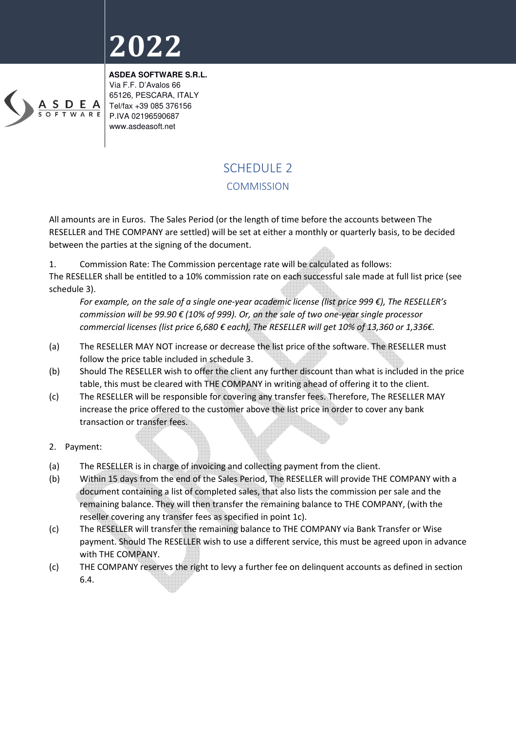

**ASDEA SOFTWARE S.R.L.**  Via F.F. D'Avalos 66 65126, PESCARA, ITALY Tel/fax +39 085 376156 P.IVA 02196590687 www.asdeasoft.net

### SCHEDULE<sub>2</sub>

#### **COMMISSION**

All amounts are in Euros. The Sales Period (or the length of time before the accounts between The RESELLER and THE COMPANY are settled) will be set at either a monthly or quarterly basis, to be decided between the parties at the signing of the document.

1. Commission Rate: The Commission percentage rate will be calculated as follows:

The RESELLER shall be entitled to a 10% commission rate on each successful sale made at full list price (see schedule 3).

*For example, on the sale of a single one-year academic license (list price 999 €), The RESELLER's commission will be 99.90 € (10% of 999). Or, on the sale of two one-year single processor commercial licenses (list price 6,680 € each), The RESELLER will get 10% of 13,360 or 1,336€.* 

- (a) The RESELLER MAY NOT increase or decrease the list price of the software. The RESELLER must follow the price table included in schedule 3.
- (b) Should The RESELLER wish to offer the client any further discount than what is included in the price table, this must be cleared with THE COMPANY in writing ahead of offering it to the client.
- (c) The RESELLER will be responsible for covering any transfer fees. Therefore, The RESELLER MAY increase the price offered to the customer above the list price in order to cover any bank transaction or transfer fees.
- 2. Payment:
- (a) The RESELLER is in charge of invoicing and collecting payment from the client.
- (b) Within 15 days from the end of the Sales Period, The RESELLER will provide THE COMPANY with a document containing a list of completed sales, that also lists the commission per sale and the remaining balance. They will then transfer the remaining balance to THE COMPANY, (with the reseller covering any transfer fees as specified in point 1c).
- (c) The RESELLER will transfer the remaining balance to THE COMPANY via Bank Transfer or Wise payment. Should The RESELLER wish to use a different service, this must be agreed upon in advance with THE COMPANY.
- (c) THE COMPANY reserves the right to levy a further fee on delinquent accounts as defined in section 6.4.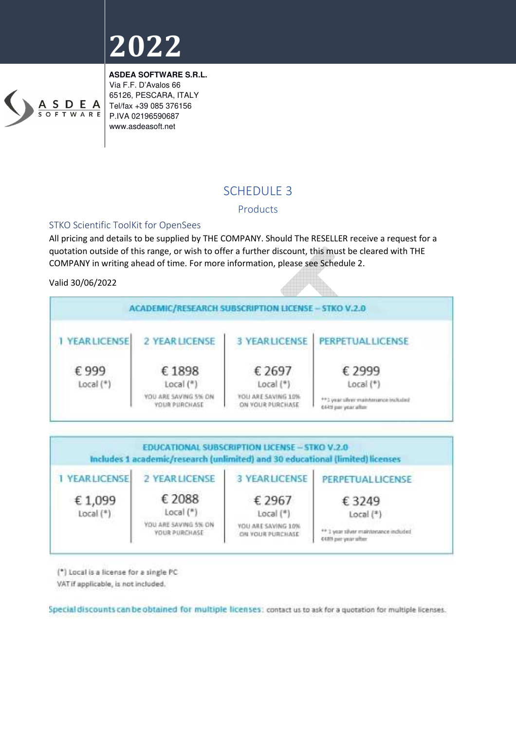

**ASDEA SOFTWARE S.R.L.**  Via F.F. D'Avalos 66 65126, PESCARA, ITALY Tel/fax +39 085 376156 P.IVA 02196590687 www.asdeasoft.net

### SCHEDULE 3

#### Products

#### STKO Scientific ToolKit for OpenSees

All pricing and details to be supplied by THE COMPANY. Should The RESELLER receive a request for a quotation outside of this range, or wish to offer a further discount, this must be cleared with THE COMPANY in writing ahead of time. For more information, please see Schedule 2.

#### Valid 30/06/2022





(\*) Local is a license for a single PC

VAT if applicable, is not included.

Special discounts can be obtained for multiple licenses: contact us to ask for a quotation for multiple licenses.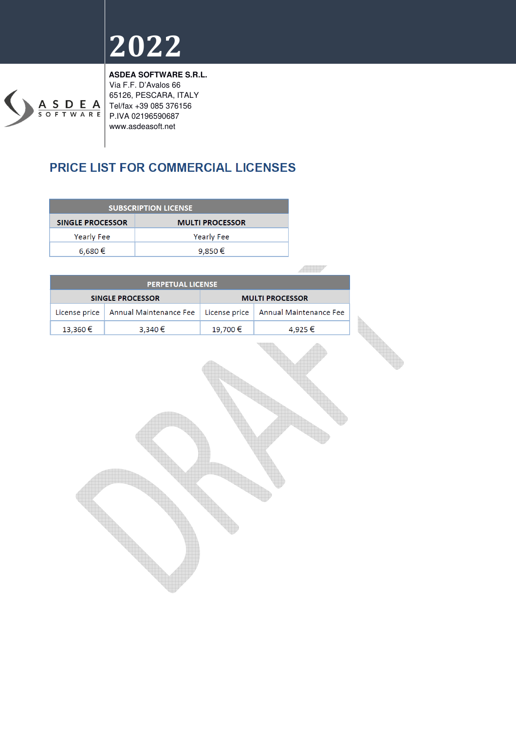

**ASDEA SOFTWARE S.R.L.**  Via F.F. D'Avalos 66 65126, PESCARA, ITALY Tel/fax +39 085 376156 P.IVA 02196590687 www.asdeasoft.net

### PRICE LIST FOR COMMERCIAL LICENSES

| <b>SUBSCRIPTION LICENSE</b> |  |  |  |
|-----------------------------|--|--|--|
| <b>MULTI PROCESSOR</b>      |  |  |  |
| <b>Yearly Fee</b>           |  |  |  |
| 9,850 €                     |  |  |  |
|                             |  |  |  |

**AND** 

| <b>PERPETUAL LICENSE</b> |                                        |         |                                        |  |  |
|--------------------------|----------------------------------------|---------|----------------------------------------|--|--|
| <b>SINGLE PROCESSOR</b>  |                                        |         | <b>MULTI PROCESSOR</b>                 |  |  |
|                          | License price   Annual Maintenance Fee |         | License price   Annual Maintenance Fee |  |  |
| 13,360€                  | 3,340 €                                | 19,700€ | 4,925€                                 |  |  |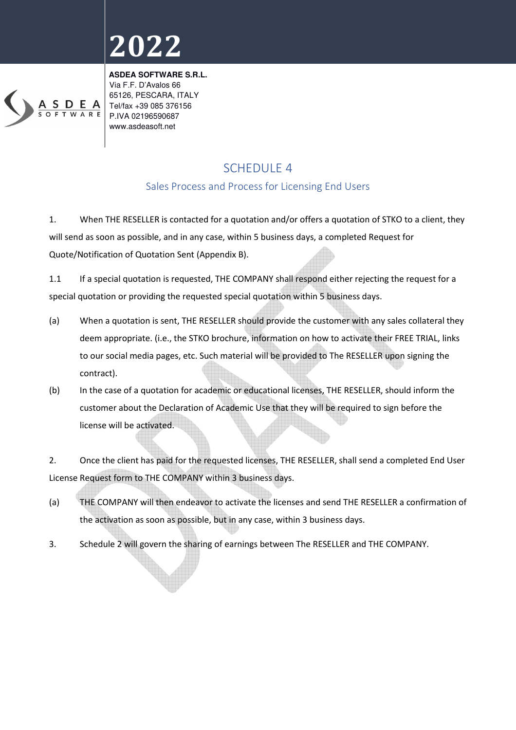

**ASDEA SOFTWARE S.R.L.**  Via F.F. D'Avalos 66 65126, PESCARA, ITALY Tel/fax +39 085 376156 P.IVA 02196590687 www.asdeasoft.net

### SCHEDULE 4

### Sales Process and Process for Licensing End Users

1. When THE RESELLER is contacted for a quotation and/or offers a quotation of STKO to a client, they will send as soon as possible, and in any case, within 5 business days, a completed Request for Quote/Notification of Quotation Sent (Appendix B).

1.1 If a special quotation is requested, THE COMPANY shall respond either rejecting the request for a special quotation or providing the requested special quotation within 5 business days.

- (a) When a quotation is sent, THE RESELLER should provide the customer with any sales collateral they deem appropriate. (i.e., the STKO brochure, information on how to activate their FREE TRIAL, links to our social media pages, etc. Such material will be provided to The RESELLER upon signing the contract).
- (b) In the case of a quotation for academic or educational licenses, THE RESELLER, should inform the customer about the Declaration of Academic Use that they will be required to sign before the license will be activated.

2. Once the client has paid for the requested licenses, THE RESELLER, shall send a completed End User License Request form to THE COMPANY within 3 business days.

- (a) THE COMPANY will then endeavor to activate the licenses and send THE RESELLER a confirmation of the activation as soon as possible, but in any case, within 3 business days.
- 3. Schedule 2 will govern the sharing of earnings between The RESELLER and THE COMPANY.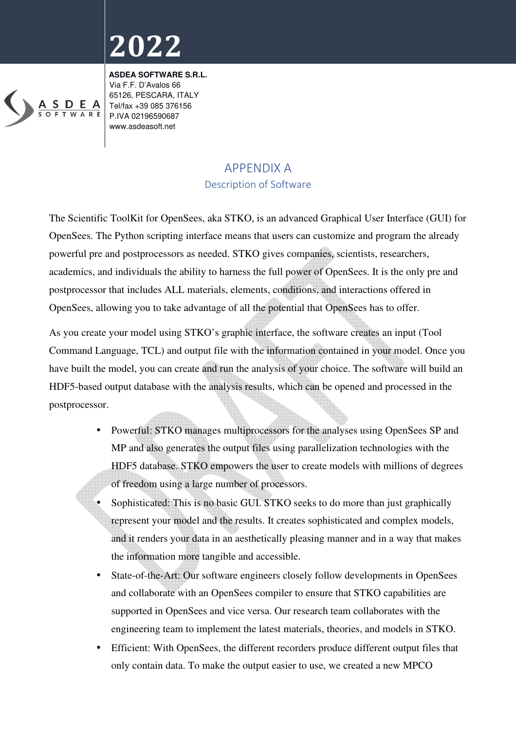

**ASDEA SOFTWARE S.R.L.**  Via F.F. D'Avalos 66 65126, PESCARA, ITALY Tel/fax +39 085 376156 P.IVA 02196590687 www.asdeasoft.net

### APPENDIX A Description of Software

The Scientific ToolKit for OpenSees, aka STKO, is an advanced Graphical User Interface (GUI) for OpenSees. The Python scripting interface means that users can customize and program the already powerful pre and postprocessors as needed. STKO gives companies, scientists, researchers, academics, and individuals the ability to harness the full power of OpenSees. It is the only pre and postprocessor that includes ALL materials, elements, conditions, and interactions offered in OpenSees, allowing you to take advantage of all the potential that OpenSees has to offer.

As you create your model using STKO's graphic interface, the software creates an input (Tool Command Language, TCL) and output file with the information contained in your model. Once you have built the model, you can create and run the analysis of your choice. The software will build an HDF5-based output database with the analysis results, which can be opened and processed in the postprocessor.

- Powerful: STKO manages multiprocessors for the analyses using OpenSees SP and MP and also generates the output files using parallelization technologies with the HDF5 database. STKO empowers the user to create models with millions of degrees of freedom using a large number of processors.
- Sophisticated: This is no basic GUI. STKO seeks to do more than just graphically represent your model and the results. It creates sophisticated and complex models, and it renders your data in an aesthetically pleasing manner and in a way that makes the information more tangible and accessible.
- State-of-the-Art: Our software engineers closely follow developments in OpenSees and collaborate with an OpenSees compiler to ensure that STKO capabilities are supported in OpenSees and vice versa. Our research team collaborates with the engineering team to implement the latest materials, theories, and models in STKO.
- Efficient: With OpenSees, the different recorders produce different output files that only contain data. To make the output easier to use, we created a new MPCO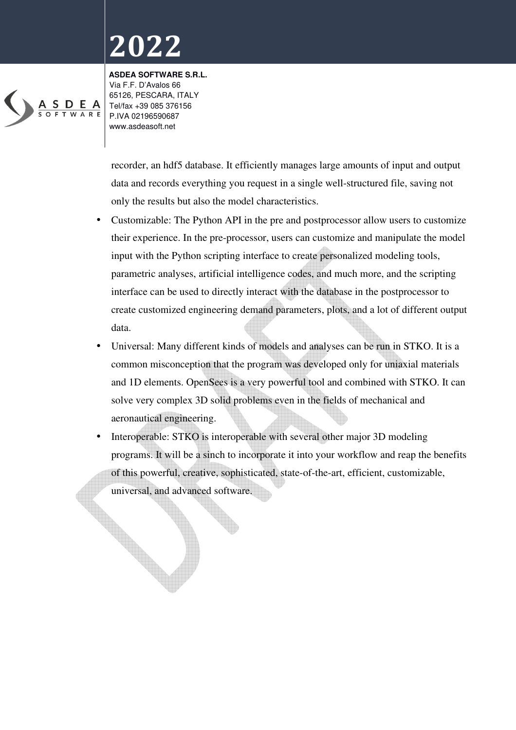

**ASDEA SOFTWARE S.R.L.**  Via F.F. D'Avalos 66 65126, PESCARA, ITALY Tel/fax +39 085 376156 P.IVA 02196590687 www.asdeasoft.net

recorder, an hdf5 database. It efficiently manages large amounts of input and output data and records everything you request in a single well-structured file, saving not only the results but also the model characteristics.

- Customizable: The Python API in the pre and postprocessor allow users to customize their experience. In the pre-processor, users can customize and manipulate the model input with the Python scripting interface to create personalized modeling tools, parametric analyses, artificial intelligence codes, and much more, and the scripting interface can be used to directly interact with the database in the postprocessor to create customized engineering demand parameters, plots, and a lot of different output data.
- Universal: Many different kinds of models and analyses can be run in STKO. It is a common misconception that the program was developed only for uniaxial materials and 1D elements. OpenSees is a very powerful tool and combined with STKO. It can solve very complex 3D solid problems even in the fields of mechanical and aeronautical engineering.
- Interoperable: STKO is interoperable with several other major 3D modeling programs. It will be a sinch to incorporate it into your workflow and reap the benefits of this powerful, creative, sophisticated, state-of-the-art, efficient, customizable, universal, and advanced software.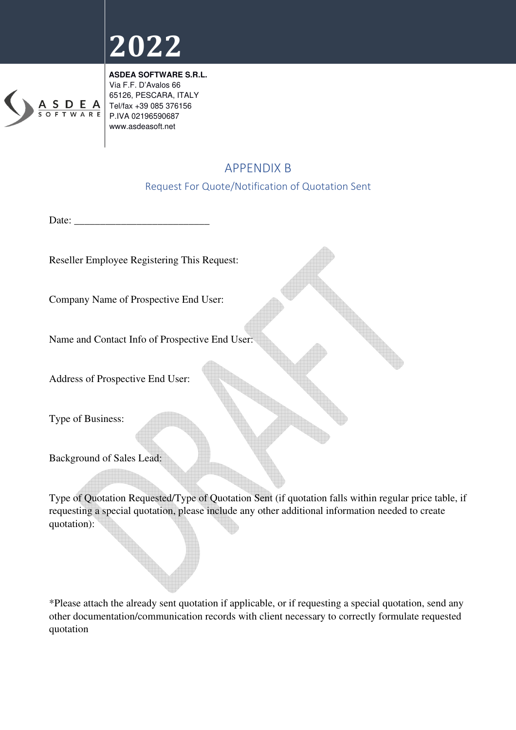

**ASDEA SOFTWARE S.R.L.**  Via F.F. D'Avalos 66 65126, PESCARA, ITALY Tel/fax +39 085 376156 P.IVA 02196590687 www.asdeasoft.net

### APPENDIX B

### Request For Quote/Notification of Quotation Sent

Date: \_\_\_\_\_\_\_\_\_\_\_\_\_\_\_\_\_\_\_\_\_\_\_\_\_\_

Reseller Employee Registering This Request:

Company Name of Prospective End User:

Name and Contact Info of Prospective End User:

Address of Prospective End User:

Type of Business:

Background of Sales Lead:

Type of Quotation Requested/Type of Quotation Sent (if quotation falls within regular price table, if requesting a special quotation, please include any other additional information needed to create quotation):

\*Please attach the already sent quotation if applicable, or if requesting a special quotation, send any other documentation/communication records with client necessary to correctly formulate requested quotation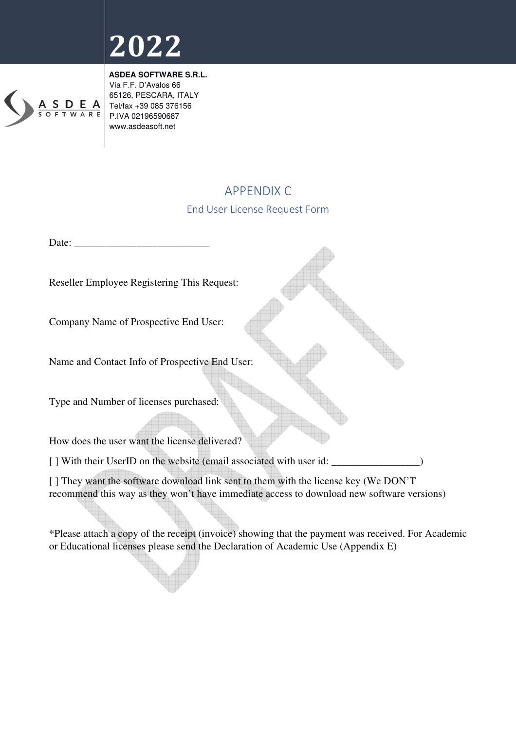

**ASDEA SOFTWARE S.R.L.**  Via F.F. D'Avalos 66 65126, PESCARA, ITALY Tel/fax +39 085 376156 P.IVA 02196590687 www.asdeasoft.net

### APPENDIX C

### End User License Request Form

Date:

Reseller Employee Registering This Request:

Company Name of Prospective End User:

Name and Contact Info of Prospective End User:

Type and Number of licenses purchased:

How does the user want the license delivered?

[] With their UserID on the website (email associated with user id: \_\_\_\_\_\_\_\_\_\_\_\_

[] They want the software download link sent to them with the license key (We DON'T) recommend this way as they won't have immediate access to download new software versions)

\*Please attach a copy of the receipt (invoice) showing that the payment was received. For Academic or Educational licenses please send the Declaration of Academic Use (Appendix E)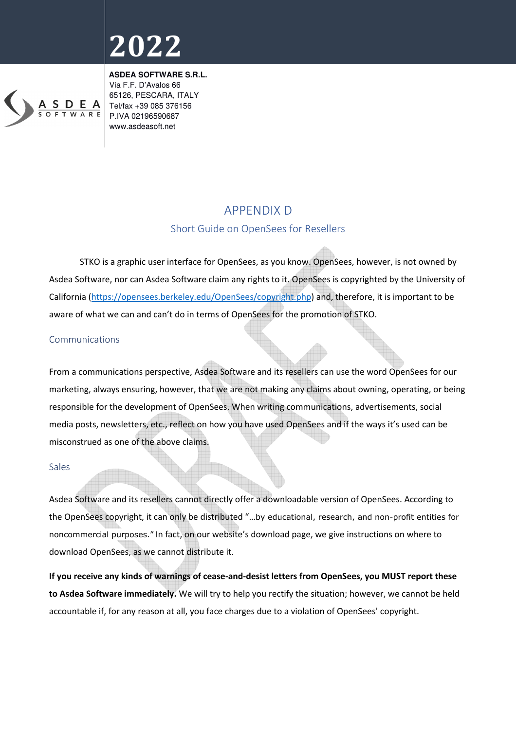

**ASDEA SOFTWARE S.R.L.**  Via F.F. D'Avalos 66 65126, PESCARA, ITALY Tel/fax +39 085 376156 P.IVA 02196590687 www.asdeasoft.net

### APPENDIX D

### Short Guide on OpenSees for Resellers

 STKO is a graphic user interface for OpenSees, as you know. OpenSees, however, is not owned by Asdea Software, nor can Asdea Software claim any rights to it. OpenSees is copyrighted by the University of California (https://opensees.berkeley.edu/OpenSees/copyright.php) and, therefore, it is important to be aware of what we can and can't do in terms of OpenSees for the promotion of STKO.

#### Communications

From a communications perspective, Asdea Software and its resellers can use the word OpenSees for our marketing, always ensuring, however, that we are not making any claims about owning, operating, or being responsible for the development of OpenSees. When writing communications, advertisements, social media posts, newsletters, etc., reflect on how you have used OpenSees and if the ways it's used can be misconstrued as one of the above claims.

#### Sales

Asdea Software and its resellers cannot directly offer a downloadable version of OpenSees. According to the OpenSees copyright, it can only be distributed "…by educational, research, and non-profit entities for noncommercial purposes." In fact, on our website's download page, we give instructions on where to download OpenSees, as we cannot distribute it.

**If you receive any kinds of warnings of cease-and-desist letters from OpenSees, you MUST report these to Asdea Software immediately.** We will try to help you rectify the situation; however, we cannot be held accountable if, for any reason at all, you face charges due to a violation of OpenSees' copyright.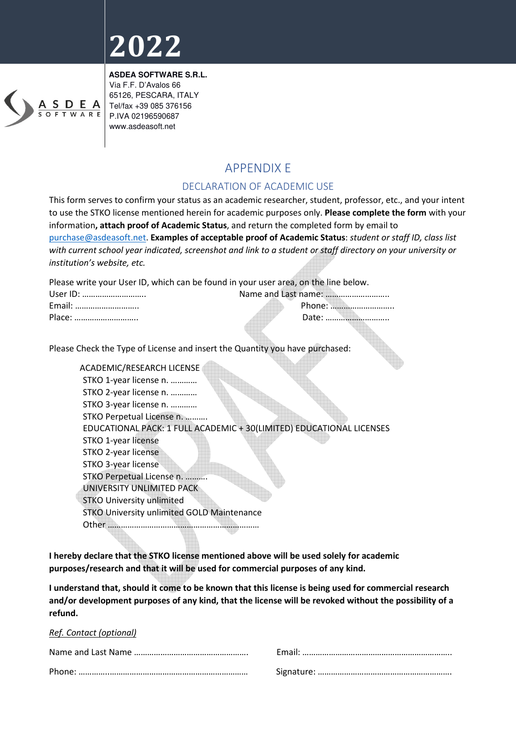

**ASDEA SOFTWARE S.R.L.**  Via F.F. D'Avalos 66 65126, PESCARA, ITALY Tel/fax +39 085 376156 P.IVA 02196590687 www.asdeasoft.net

### APPENDIX E

### DECLARATION OF ACADEMIC USE

This form serves to confirm your status as an academic researcher, student, professor, etc., and your intent to use the STKO license mentioned herein for academic purposes only. **Please complete the form** with your information**, attach proof of Academic Status**, and return the completed form by email to purchase@asdeasoft.net. **Examples of acceptable proof of Academic Status**: *student or staff ID, class list with current school year indicated, screenshot and link to a student or staff directory on your university or institution's website, etc.*

Please write your User ID, which can be found in your user area, on the line below.

| User ID: |        |
|----------|--------|
| Email:   | Phone: |
| Place:   |        |

Please Check the Type of License and insert the Quantity you have purchased:

 ACADEMIC/RESEARCH LICENSE STKO 1-year license n. ………… STKO 2-year license n. ………… STKO 3-year license n. ………… STKO Perpetual License n. ………. EDUCATIONAL PACK: 1 FULL ACADEMIC + 30(LIMITED) EDUCATIONAL LICENSES STKO 1-year license STKO 2-year license STKO 3-year license STKO Perpetual License n. ………. UNIVERSITY UNLIMITED PACK STKO University unlimited STKO University unlimited GOLD Maintenance Other ……………………………………………………………

**I hereby declare that the STKO license mentioned above will be used solely for academic purposes/research and that it will be used for commercial purposes of any kind.** 

**I understand that, should it come to be known that this license is being used for commercial research and/or development purposes of any kind, that the license will be revoked without the possibility of a refund.** 

*Ref. Contact (optional)*